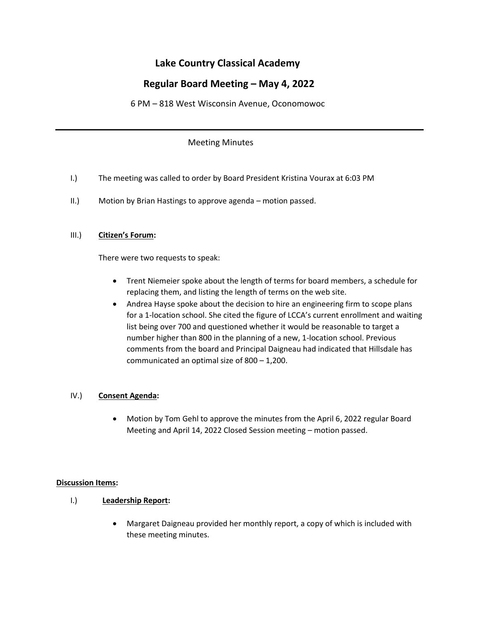# **Lake Country Classical Academy**

# **Regular Board Meeting – May 4, 2022**

6 PM – 818 West Wisconsin Avenue, Oconomowoc

## Meeting Minutes

- I.) The meeting was called to order by Board President Kristina Vourax at 6:03 PM
- II.) Motion by Brian Hastings to approve agenda motion passed.

## III.) **Citizen's Forum:**

There were two requests to speak:

- Trent Niemeier spoke about the length of terms for board members, a schedule for replacing them, and listing the length of terms on the web site.
- Andrea Hayse spoke about the decision to hire an engineering firm to scope plans for a 1-location school. She cited the figure of LCCA's current enrollment and waiting list being over 700 and questioned whether it would be reasonable to target a number higher than 800 in the planning of a new, 1-location school. Previous comments from the board and Principal Daigneau had indicated that Hillsdale has communicated an optimal size of 800 – 1,200.

## IV.) **Consent Agenda:**

• Motion by Tom Gehl to approve the minutes from the April 6, 2022 regular Board Meeting and April 14, 2022 Closed Session meeting – motion passed.

## **Discussion Items:**

## I.) **Leadership Report:**

• Margaret Daigneau provided her monthly report, a copy of which is included with these meeting minutes.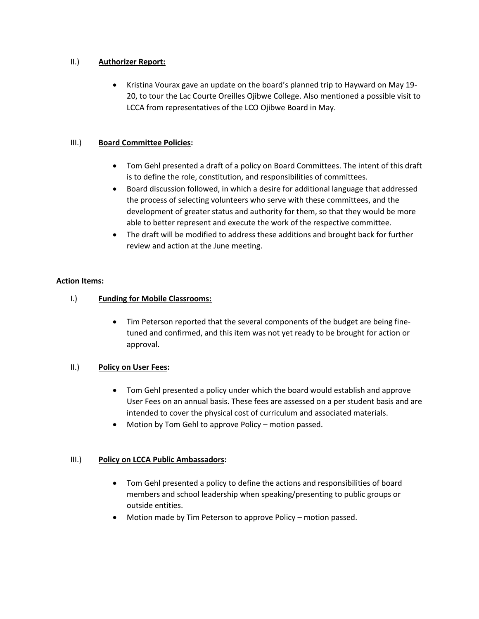#### II.) **Authorizer Report:**

• Kristina Vourax gave an update on the board's planned trip to Hayward on May 19- 20, to tour the Lac Courte Oreilles Ojibwe College. Also mentioned a possible visit to LCCA from representatives of the LCO Ojibwe Board in May.

#### III.) **Board Committee Policies:**

- Tom Gehl presented a draft of a policy on Board Committees. The intent of this draft is to define the role, constitution, and responsibilities of committees.
- Board discussion followed, in which a desire for additional language that addressed the process of selecting volunteers who serve with these committees, and the development of greater status and authority for them, so that they would be more able to better represent and execute the work of the respective committee.
- The draft will be modified to address these additions and brought back for further review and action at the June meeting.

#### **Action Items:**

- I.) **Funding for Mobile Classrooms:**
	- Tim Peterson reported that the several components of the budget are being finetuned and confirmed, and this item was not yet ready to be brought for action or approval.

## II.) **Policy on User Fees:**

- Tom Gehl presented a policy under which the board would establish and approve User Fees on an annual basis. These fees are assessed on a per student basis and are intended to cover the physical cost of curriculum and associated materials.
- Motion by Tom Gehl to approve Policy motion passed.

## III.) **Policy on LCCA Public Ambassadors:**

- Tom Gehl presented a policy to define the actions and responsibilities of board members and school leadership when speaking/presenting to public groups or outside entities.
- Motion made by Tim Peterson to approve Policy motion passed.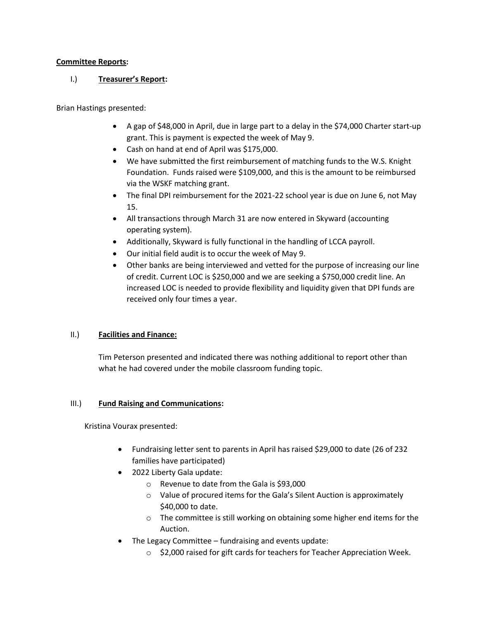#### **Committee Reports:**

# I.) **Treasurer's Report:**

Brian Hastings presented:

- A gap of \$48,000 in April, due in large part to a delay in the \$74,000 Charter start-up grant. This is payment is expected the week of May 9.
- Cash on hand at end of April was \$175,000.
- We have submitted the first reimbursement of matching funds to the W.S. Knight Foundation. Funds raised were \$109,000, and this is the amount to be reimbursed via the WSKF matching grant.
- The final DPI reimbursement for the 2021-22 school year is due on June 6, not May 15.
- All transactions through March 31 are now entered in Skyward (accounting operating system).
- Additionally, Skyward is fully functional in the handling of LCCA payroll.
- Our initial field audit is to occur the week of May 9.
- Other banks are being interviewed and vetted for the purpose of increasing our line of credit. Current LOC is \$250,000 and we are seeking a \$750,000 credit line. An increased LOC is needed to provide flexibility and liquidity given that DPI funds are received only four times a year.

## II.) **Facilities and Finance:**

Tim Peterson presented and indicated there was nothing additional to report other than what he had covered under the mobile classroom funding topic.

## III.) **Fund Raising and Communications:**

Kristina Vourax presented:

- Fundraising letter sent to parents in April has raised \$29,000 to date (26 of 232 families have participated)
- 2022 Liberty Gala update:
	- o Revenue to date from the Gala is \$93,000
	- o Value of procured items for the Gala's Silent Auction is approximately \$40,000 to date.
	- o The committee is still working on obtaining some higher end items for the Auction.
- The Legacy Committee fundraising and events update:
	- o \$2,000 raised for gift cards for teachers for Teacher Appreciation Week.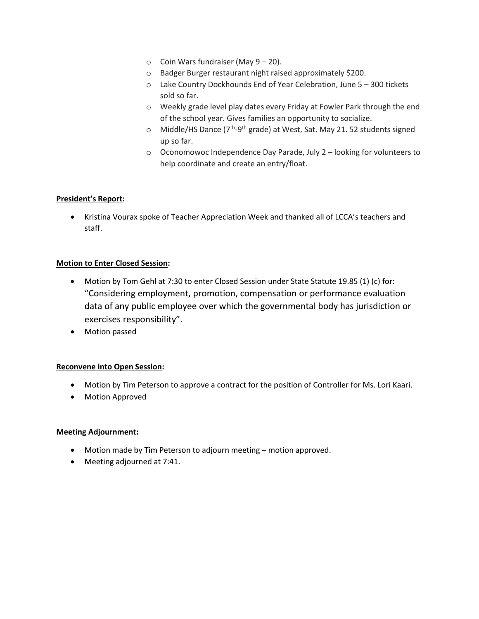- $\circ$  Coin Wars fundraiser (May 9 20).
- o Badger Burger restaurant night raised approximately \$200.
- o Lake Country Dockhounds End of Year Celebration, June 5 300 tickets sold so far.
- o Weekly grade level play dates every Friday at Fowler Park through the end of the school year. Gives families an opportunity to socialize.
- o Middle/HS Dance (7<sup>th</sup>-9<sup>th</sup> grade) at West, Sat. May 21. 52 students signed up so far.
- o Oconomowoc Independence Day Parade, July 2 looking for volunteers to help coordinate and create an entry/float.

#### **President's Report:**

• Kristina Vourax spoke of Teacher Appreciation Week and thanked all of LCCA's teachers and staff.

#### **Motion to Enter Closed Session:**

- Motion by Tom Gehl at 7:30 to enter Closed Session under State Statute 19.85 (1) (c) for: "Considering employment, promotion, compensation or performance evaluation data of any public employee over which the governmental body has jurisdiction or exercises responsibility".
- Motion passed

#### **Reconvene into Open Session:**

- Motion by Tim Peterson to approve a contract for the position of Controller for Ms. Lori Kaari.
- Motion Approved

#### **Meeting Adjournment:**

- Motion made by Tim Peterson to adjourn meeting motion approved.
- Meeting adjourned at 7:41.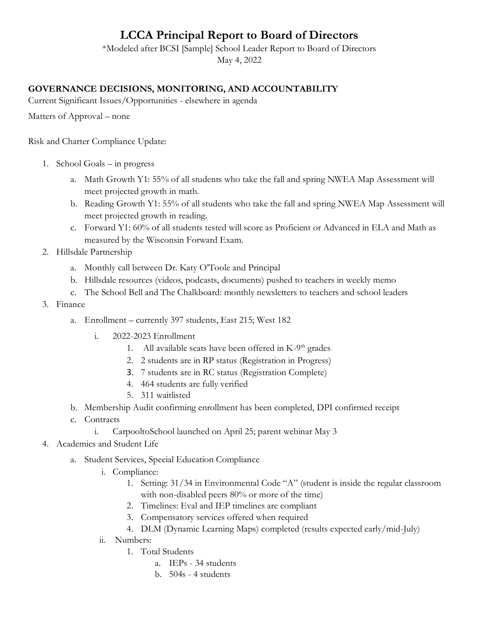# **LCCA Principal Report to Board of Directors**

\*Modeled after BCSI [Sample] School Leader Report to Board of Directors

# May 4, 2022

# **GOVERNANCE DECISIONS, MONITORING, AND ACCOUNTABILITY**

Current Significant Issues/Opportunities - elsewhere in agenda

Matters of Approval – none

Risk and Charter Compliance Update:

- 1. School Goals in progress
	- a. Math Growth Y1: 55% of all students who take the fall and spring NWEA Map Assessment will meet projected growth in math.
	- b. Reading Growth Y1: 55% of all students who take the fall and spring NWEA Map Assessment will meet projected growth in reading.
	- c. Forward Y1: 60% of all students tested will score as Proficient or Advanced in ELA and Math as measured by the Wisconsin Forward Exam.
- 2. Hillsdale Partnership
	- a. Monthly call between Dr. Katy O'Toole and Principal
	- b. Hillsdale resources (videos, podcasts, documents) pushed to teachers in weekly memo
	- c. The School Bell and The Chalkboard: monthly newsletters to teachers and school leaders
- 3. Finance
	- a. Enrollment currently 397 students, East 215; West 182
		- i. 2022-2023 Enrollment
			- 1. All available seats have been offered in K-9<sup>th</sup> grades
			- 2. 2 students are in RP status (Registration in Progress)
			- 3. 7 students are in RC status (Registration Complete)
			- 4. 464 students are fully verified
			- 5. 311 waitlisted
	- b. Membership Audit confirming enrollment has been completed, DPI confirmed receipt
	- c. Contracts
		- i. CarpooltoSchool launched on April 25; parent webinar May 3
- 4. Academics and Student Life
	- a. Student Services, Special Education Compliance
		- i. Compliance:
			- 1. Setting: 31/34 in Environmental Code "A" (student is inside the regular classroom with non-disabled peers 80% or more of the time)
			- 2. Timelines: Eval and IEP timelines are compliant
			- 3. Compensatory services offered when required
			- 4. DLM (Dynamic Learning Maps) completed (results expected early/mid-July)
		- ii. Numbers:
			- 1. Total Students
				- a. IEPs 34 students
				- b. 504s 4 students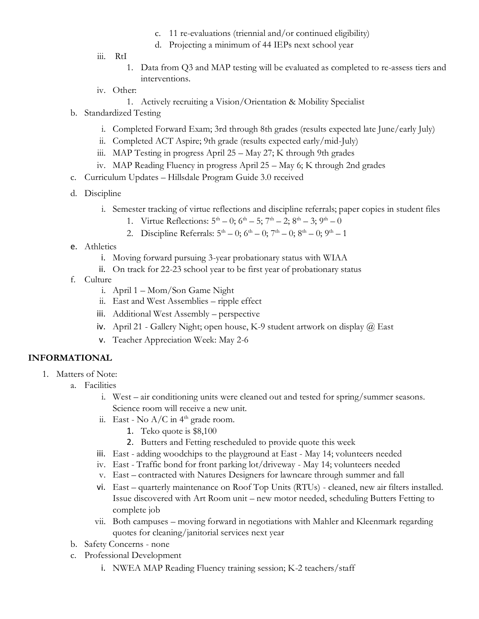- c. 11 re-evaluations (triennial and/or continued eligibility)
- d. Projecting a minimum of 44 IEPs next school year
- iii. RtI
	- 1. Data from Q3 and MAP testing will be evaluated as completed to re-assess tiers and interventions.
- iv. Other:
	- 1. Actively recruiting a Vision/Orientation & Mobility Specialist
- b. Standardized Testing
	- i. Completed Forward Exam; 3rd through 8th grades (results expected late June/early July)
	- ii. Completed ACT Aspire; 9th grade (results expected early/mid-July)
	- iii. MAP Testing in progress April  $25 -$ May  $27$ ; K through 9th grades
	- iv. MAP Reading Fluency in progress April 25 May 6; K through 2nd grades
- c. Curriculum Updates Hillsdale Program Guide 3.0 received
- d. Discipline
	- i. Semester tracking of virtue reflections and discipline referrals; paper copies in student files
		- 1. Virtue Reflections:  $5^{\text{th}} 0$ ;  $6^{\text{th}} 5$ ;  $7^{\text{th}} 2$ ;  $8^{\text{th}} 3$ ;  $9^{\text{th}} 0$
		- 2. Discipline Referrals:  $5^{\text{th}} 0$ ;  $6^{\text{th}} 0$ ;  $7^{\text{th}} 0$ ;  $8^{\text{th}} 0$ ;  $9^{\text{th}} 1$
- e. Athletics
	- i. Moving forward pursuing 3-year probationary status with WIAA
	- ii. On track for 22-23 school year to be first year of probationary status
- f. Culture
	- i. April 1 Mom/Son Game Night
	- ii. East and West Assemblies ripple effect
	- iii. Additional West Assembly perspective
	- iv. April 21 Gallery Night; open house, K-9 student artwork on display  $\omega$  East
	- v. Teacher Appreciation Week: May 2-6

# **INFORMATIONAL**

- 1. Matters of Note:
	- a. Facilities
		- i. West air conditioning units were cleaned out and tested for spring/summer seasons. Science room will receive a new unit.
		- ii. East No  $A/C$  in  $4<sup>th</sup>$  grade room.
			- 1. Teko quote is \$8,100
			- 2. Butters and Fetting rescheduled to provide quote this week
		- iii. East adding woodchips to the playground at East May 14; volunteers needed
		- iv. East Traffic bond for front parking lot/driveway May 14; volunteers needed
		- v. East contracted with Natures Designers for lawncare through summer and fall
		- vi. East quarterly maintenance on Roof Top Units (RTUs) cleaned, new air filters installed. Issue discovered with Art Room unit – new motor needed, scheduling Butters Fetting to complete job
		- vii. Both campuses moving forward in negotiations with Mahler and Kleenmark regarding quotes for cleaning/janitorial services next year
	- b. Safety Concerns none
	- c. Professional Development
		- i. NWEA MAP Reading Fluency training session; K-2 teachers/staff